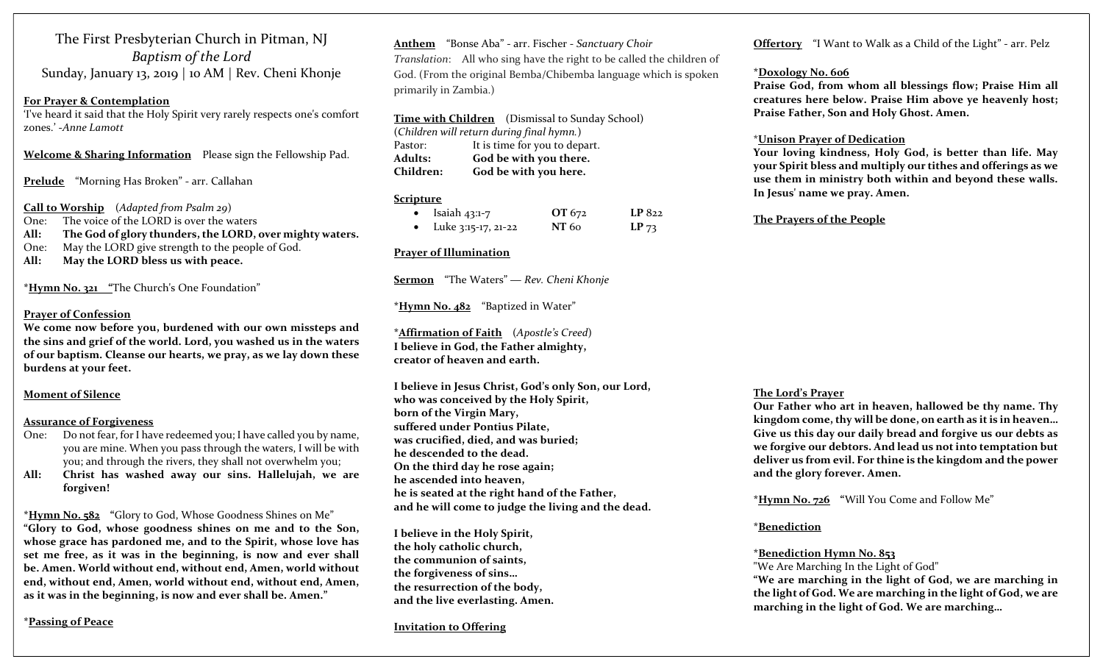The First Presbyterian Church in Pitman, NJ Baptism of the Lord Sunday, January 13, 2019 | 10 AM | Rev. Cheni Khonje

#### For Prayer & Contemplation

'I've heard it said that the Holy Spirit very rarely respects one's comfort zones.' -Anne Lamott

Welcome & Sharing Information Please sign the Fellowship Pad.

Prelude "Morning Has Broken" - arr. Callahan

Call to Worship (Adapted from Psalm 29)

One: The voice of the LORD is over the waters

All: The God of glory thunders, the LORD, over mighty waters.

One: May the LORD give strength to the people of God.

All: May the LORD bless us with peace.

\*Hymn No. 321 "The Church's One Foundation"

#### Prayer of Confession

We come now before you, burdened with our own missteps and the sins and grief of the world. Lord, you washed us in the waters of our baptism. Cleanse our hearts, we pray, as we lay down these burdens at your feet.

## Moment of Silence

#### Assurance of Forgiveness

- One: Do not fear, for I have redeemed you; I have called you by name, you are mine. When you pass through the waters, I will be with you; and through the rivers, they shall not overwhelm you;
- All: Christ has washed away our sins. Hallelujah, we are forgiven!

\*Hymn No. 582 "Glory to God, Whose Goodness Shines on Me" "Glory to God, whose goodness shines on me and to the Son, whose grace has pardoned me, and to the Spirit, whose love has set me free, as it was in the beginning, is now and ever shall be. Amen. World without end, without end, Amen, world without end, without end, Amen, world without end, without end, Amen, as it was in the beginning, is now and ever shall be. Amen."

\*Passing of Peace

Anthem "Bonse Aba" - arr. Fischer - Sanctuary Choir Translation: All who sing have the right to be called the children of God. (From the original Bemba/Chibemba language which is spoken primarily in Zambia.)

Time with Children (Dismissal to Sunday School) (Children will return during final hymn.) Pastor: It is time for you to depart. Adults: God be with you there. Children: God be with you here.

## **Scripture**

| $\bullet$ | Isaiah 43:1-7       | OT 672 | LP 822    |
|-----------|---------------------|--------|-----------|
|           | Luke 3:15-17, 21-22 | NT 60  | $LP_{73}$ |

# Prayer of Illumination

Sermon "The Waters" — Rev. Cheni Khonje

\*Hymn No. 482 "Baptized in Water"

\*Affirmation of Faith (Apostle's Creed) I believe in God, the Father almighty, creator of heaven and earth.

I believe in Jesus Christ, God's only Son, our Lord, who was conceived by the Holy Spirit, born of the Virgin Mary, suffered under Pontius Pilate, was crucified, died, and was buried; he descended to the dead. On the third day he rose again; he ascended into heaven, he is seated at the right hand of the Father, and he will come to judge the living and the dead.

I believe in the Holy Spirit, the holy catholic church, the communion of saints, the forgiveness of sins… the resurrection of the body, and the live everlasting. Amen.

#### Invitation to Offering

Offertory "I Want to Walk as a Child of the Light" - arr. Pelz

#### \*Doxology No. 606

Praise God, from whom all blessings flow; Praise Him all creatures here below. Praise Him above ye heavenly host; Praise Father, Son and Holy Ghost. Amen.

### \*Unison Prayer of Dedication

Your loving kindness, Holy God, is better than life. May your Spirit bless and multiply our tithes and offerings as we use them in ministry both within and beyond these walls. In Jesus' name we pray. Amen.

The Prayers of the People

# The Lord's Prayer

Our Father who art in heaven, hallowed be thy name. Thy kingdom come, thy will be done, on earth as it is in heaven… Give us this day our daily bread and forgive us our debts as we forgive our debtors. And lead us not into temptation but deliver us from evil. For thine is the kingdom and the power and the glory forever. Amen.

\*Hymn No. 726 "Will You Come and Follow Me"

# \*Benediction

# \*Benediction Hymn No. 853

"We Are Marching In the Light of God"

"We are marching in the light of God, we are marching in the light of God. We are marching in the light of God, we are marching in the light of God. We are marching…